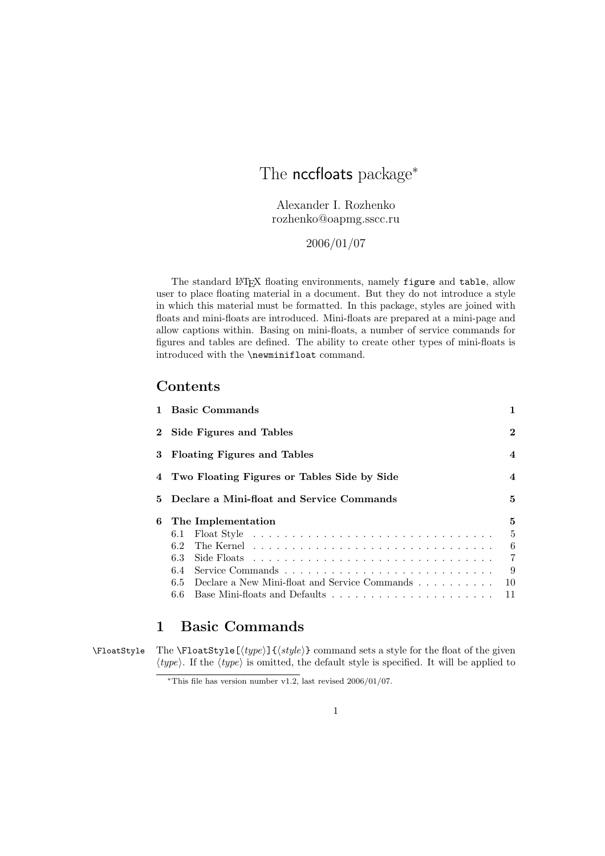# The nccfloats package<sup>\*</sup>

Alexander I. Rozhenko rozhenko@oapmg.sscc.ru

2006/01/07

The standard L<sup>AT</sup>EX floating environments, namely figure and table, allow user to place floating material in a document. But they do not introduce a style in which this material must be formatted. In this package, styles are joined with floats and mini-floats are introduced. Mini-floats are prepared at a mini-page and allow captions within. Basing on mini-floats, a number of service commands for figures and tables are defined. The ability to create other types of mini-floats is introduced with the \newminifloat command.

# Contents

|    | 1 Basic Commands                              | 1                       |
|----|-----------------------------------------------|-------------------------|
|    | 2 Side Figures and Tables                     | $\mathbf{2}$            |
|    | 3 Floating Figures and Tables                 | $\overline{\mathbf{4}}$ |
|    | 4 Two Floating Figures or Tables Side by Side | $\overline{\mathbf{4}}$ |
| 5. | Declare a Mini-float and Service Commands     | 5                       |
| 6  | The Implementation                            | 5                       |
|    | 6.1                                           | 5                       |
|    |                                               | -6                      |
|    | 6.3                                           | $\overline{7}$          |
|    | 6.4                                           | -9                      |
|    | 6.5                                           |                         |
|    | Declare a New Mini-float and Service Commands | 10                      |

# 1 Basic Commands

\FloatStyle The \FloatStyle[ $\{type\}$ ]{ $\{style\}$  command sets a style for the float of the given  $\langle type \rangle$ . If the  $\langle type \rangle$  is omitted, the default style is specified. It will be applied to

<sup>\*</sup>This file has version number v1.2, last revised  $2006/01/07$ .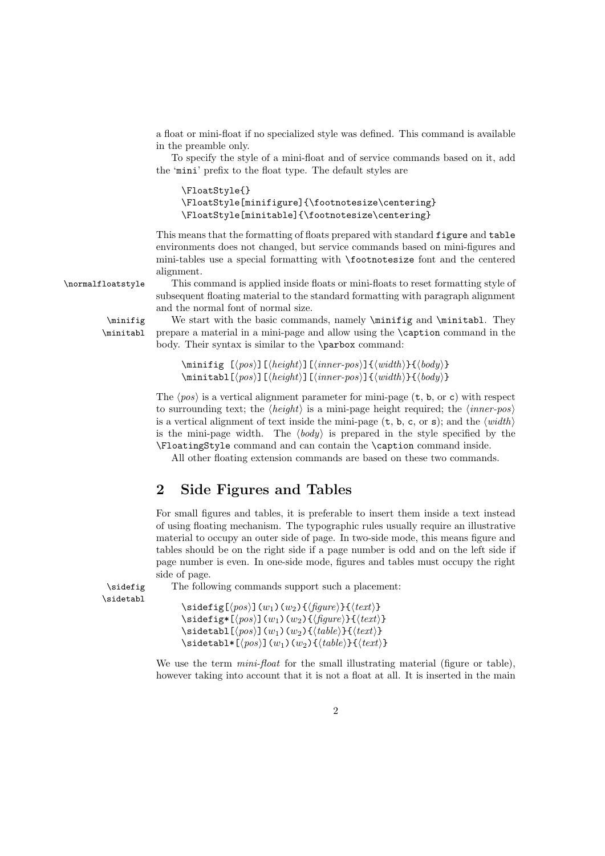a float or mini-float if no specialized style was defined. This command is available in the preamble only.

To specify the style of a mini-float and of service commands based on it, add the 'mini' prefix to the float type. The default styles are

```
\FloatStyle{}
\FloatStyle[minifigure]{\footnotesize\centering}
\FloatStyle[minitable]{\footnotesize\centering}
```
This means that the formatting of floats prepared with standard figure and table environments does not changed, but service commands based on mini-figures and mini-tables use a special formatting with \footnotesize font and the centered alignment.

\normalfloatstyle This command is applied inside floats or mini-floats to reset formatting style of subsequent floating material to the standard formatting with paragraph alignment and the normal font of normal size.

\minifig We start with the basic commands, namely \minifig and \minitabl. They \minitabl prepare a material in a mini-page and allow using the \caption command in the body. Their syntax is similar to the \parbox command:

> $\minif{if [pos]}{\lambda}$ [ $\{height\}$ ][ $\{inner-pos\}$ ] $\{ \width\}$  $\{ \boldsymbol{body}\}$  $\min$ itabl $[\langle pos \rangle]$ [ $\langle height \rangle$ ][ $\langle inner-pos \rangle$ ]{ $\langle width \rangle$ }{ $\langle body \rangle$ }

The  $\langle pos \rangle$  is a vertical alignment parameter for mini-page (t, b, or c) with respect to surrounding text; the  $\langle height \rangle$  is a mini-page height required; the  $\langle inner-pos \rangle$ is a vertical alignment of text inside the mini-page  $(t, b, c, or s)$ ; and the  $\langle width \rangle$ is the mini-page width. The  $\langle body \rangle$  is prepared in the style specified by the \FloatingStyle command and can contain the \caption command inside.

All other floating extension commands are based on these two commands.

# 2 Side Figures and Tables

For small figures and tables, it is preferable to insert them inside a text instead of using floating mechanism. The typographic rules usually require an illustrative material to occupy an outer side of page. In two-side mode, this means figure and tables should be on the right side if a page number is odd and on the left side if page number is even. In one-side mode, figures and tables must occupy the right side of page.

\sidefig The following commands support such a placement:

\sidetabl

 $\setminus$ sidefig[ $\langle pos \rangle$ ](w<sub>1</sub>)(w<sub>2</sub>){ $\langle figure \rangle$ }{ $\langle text \rangle$ } \sidefig\*[ $\langle pos \rangle$ ](w<sub>1</sub>)(w<sub>2</sub>){ $\langle figure \rangle$ }{ $\langle text \rangle$ }  $\setminus$ sidetabl $[\langle pos \rangle](w_1)(w_2)\{\langle table \rangle\}\{\langle text \rangle\}$ \sidetabl\*[ $\langle pos \rangle$ ](w<sub>1</sub>)(w<sub>2</sub>){ $\langle table \rangle$ }{ $\langle text \rangle$ }

We use the term  $min$ -float for the small illustrating material (figure or table), however taking into account that it is not a float at all. It is inserted in the main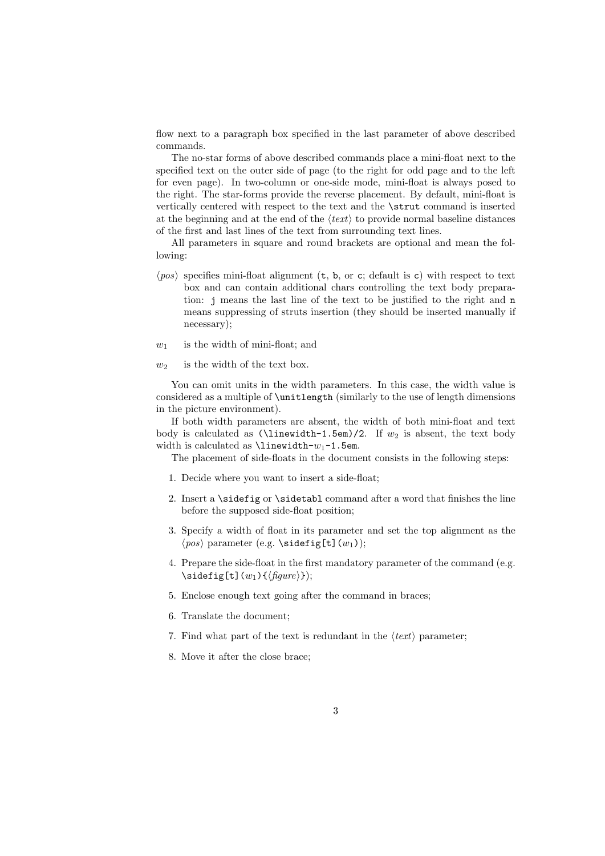flow next to a paragraph box specified in the last parameter of above described commands.

The no-star forms of above described commands place a mini-float next to the specified text on the outer side of page (to the right for odd page and to the left for even page). In two-column or one-side mode, mini-float is always posed to the right. The star-forms provide the reverse placement. By default, mini-float is vertically centered with respect to the text and the \strut command is inserted at the beginning and at the end of the  $\langle text \rangle$  to provide normal baseline distances of the first and last lines of the text from surrounding text lines.

All parameters in square and round brackets are optional and mean the following:

- $\langle pos \rangle$  specifies mini-float alignment (t, b, or c; default is c) with respect to text box and can contain additional chars controlling the text body preparation: j means the last line of the text to be justified to the right and n means suppressing of struts insertion (they should be inserted manually if necessary);
- $w_1$  is the width of mini-float; and
- $w_2$  is the width of the text box.

You can omit units in the width parameters. In this case, the width value is considered as a multiple of \unitlength (similarly to the use of length dimensions in the picture environment).

If both width parameters are absent, the width of both mini-float and text body is calculated as  $(\linewidth-1.5em)/2$ . If  $w_2$  is absent, the text body width is calculated as  $\linewicht$ - $w_1$ -1.5em.

The placement of side-floats in the document consists in the following steps:

- 1. Decide where you want to insert a side-float;
- 2. Insert a \sidefig or \sidetabl command after a word that finishes the line before the supposed side-float position;
- 3. Specify a width of float in its parameter and set the top alignment as the  $\langle pos \rangle$  parameter (e.g. \sidefig[t](w<sub>1</sub>));
- 4. Prepare the side-float in the first mandatory parameter of the command (e.g.  $\setminus\texttt{sidefig[t]}(w_1){\{\langle figure\rangle\}};$
- 5. Enclose enough text going after the command in braces;
- 6. Translate the document;
- 7. Find what part of the text is redundant in the  $\langle text \rangle$  parameter;
- 8. Move it after the close brace;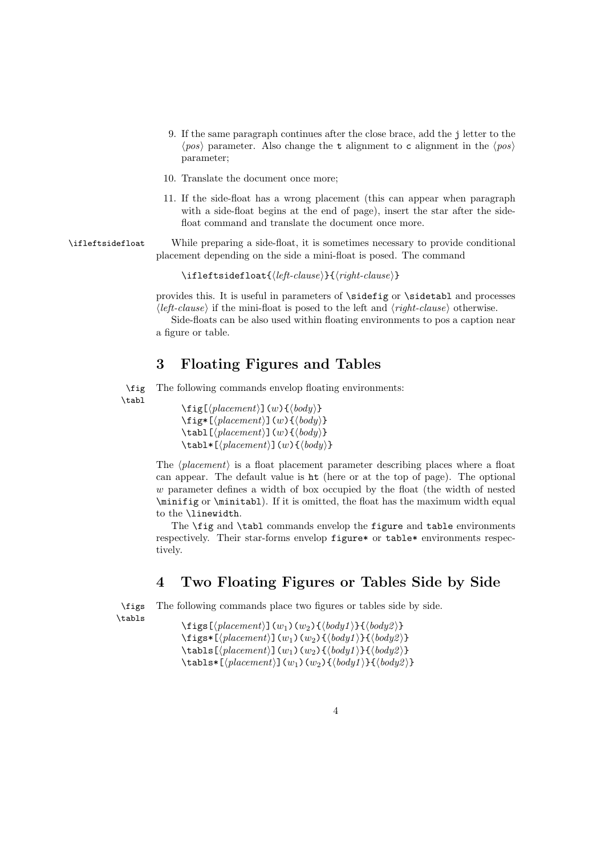- 9. If the same paragraph continues after the close brace, add the j letter to the  $\langle pos \rangle$  parameter. Also change the t alignment to c alignment in the  $\langle pos \rangle$ parameter;
- 10. Translate the document once more;
- 11. If the side-float has a wrong placement (this can appear when paragraph with a side-float begins at the end of page), insert the star after the sidefloat command and translate the document once more.

\ifleftsidefloat While preparing a side-float, it is sometimes necessary to provide conditional placement depending on the side a mini-float is posed. The command

 $\left\{left\{left\{left\{left\{left\{left\{right\} \right\}\right\}\right\} \right\}$ 

provides this. It is useful in parameters of \sidefig or \sidetabl and processes  $\langle left-clause \rangle$  if the mini-float is posed to the left and  $\langle right-clause \rangle$  otherwise.

Side-floats can be also used within floating environments to pos a caption near a figure or table.

## 3 Floating Figures and Tables

\fig The following commands envelop floating environments: \tabl

 $\left\{[l] \in \left[\langle \text{placement} \rangle \right] \cup \left\{ \langle \text{body} \rangle \right\}$  $\left\{ \phi\right\}$  [ $\left\langle \phi\right\rangle$ ] $(w)$  { $\left\langle \phi\right\rangle$ }  $\{\tabla\}$  \tabl $[\langle placement \rangle](w)\{\langle body \rangle\}$  $\{\tabla \cdot \text{[}\rho \cdot \text{]}(w)\}$ 

The  $\langle placement \rangle$  is a float placement parameter describing places where a float can appear. The default value is ht (here or at the top of page). The optional w parameter defines a width of box occupied by the float (the width of nested \minifig or \minitabl). If it is omitted, the float has the maximum width equal to the \linewidth.

The \fig and \tabl commands envelop the figure and table environments respectively. Their star-forms envelop figure\* or table\* environments respectively.

### 4 Two Floating Figures or Tables Side by Side

\figs The following commands place two figures or tables side by side. \tabls

\figs[ $\langle placement \rangle$ ](w<sub>1</sub>)(w<sub>2</sub>){ $\langle body1 \rangle$ }{ $\langle body2 \rangle$ }  $\frac{\frac{1}{\delta^2}\left\{\frac{p}{\delta w_1}(w_2)\left\{\frac{body1}{\delta^2}\right\}}{w_2\delta^2}$  $\{\tabla\{\tabla\}(\text{boundary})\}(w_1)(w_2)\{\tbody1\}\{\tbody2\}\}$  $\{\tabla$ ls\*[ $\langle placement \rangle$ ](w<sub>1</sub>)(w<sub>2</sub>){ $\langle body1 \rangle$ }{ $\langle body2 \rangle$ }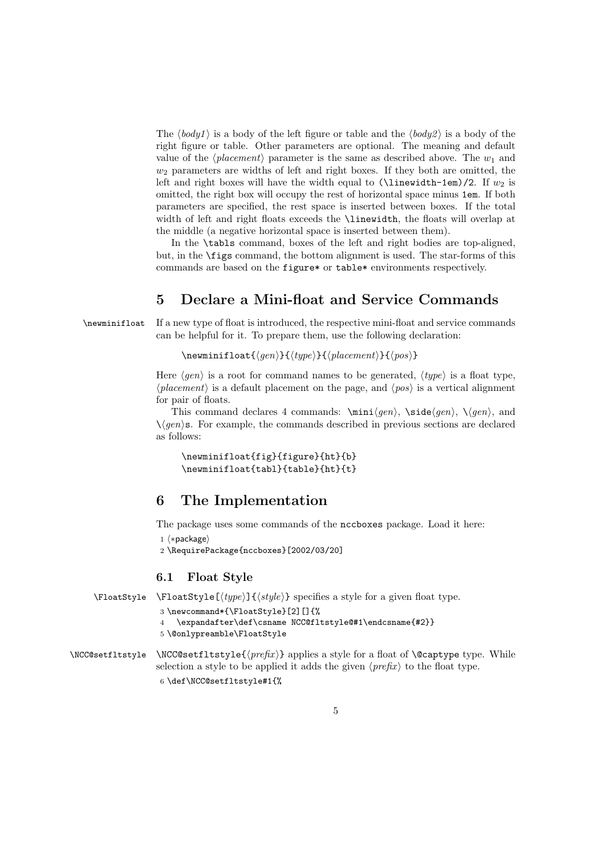The  $\langle body1 \rangle$  is a body of the left figure or table and the  $\langle body2 \rangle$  is a body of the right figure or table. Other parameters are optional. The meaning and default value of the  $\langle placement \rangle$  parameter is the same as described above. The  $w_1$  and  $w_2$  parameters are widths of left and right boxes. If they both are omitted, the left and right boxes will have the width equal to  $(\lambda)$  inewidth-1em)/2. If  $w_2$  is omitted, the right box will occupy the rest of horizontal space minus 1em. If both parameters are specified, the rest space is inserted between boxes. If the total width of left and right floats exceeds the **\linewidth**, the floats will overlap at the middle (a negative horizontal space is inserted between them).

In the \tabls command, boxes of the left and right bodies are top-aligned, but, in the \figs command, the bottom alignment is used. The star-forms of this commands are based on the figure\* or table\* environments respectively.

# 5 Declare a Mini-float and Service Commands

\newminifloat If a new type of float is introduced, the respective mini-float and service commands can be helpful for it. To prepare them, use the following declaration:

\newminifloat $\{\langle gen \rangle\}\{\langle placement \rangle\}\{\langle pos \rangle\}$ 

Here  $\langle qen \rangle$  is a root for command names to be generated,  $\langle type \rangle$  is a float type,  $\langle placement \rangle$  is a default placement on the page, and  $\langle pos \rangle$  is a vertical alignment for pair of floats.

This command declares 4 commands:  $\min\{gen\}$ ,  $\side\gen\{}{}{0pt}{\gamma}{\gamma}$ , and  $\setminus \langle gen \rangle$ . For example, the commands described in previous sections are declared as follows:

\newminifloat{fig}{figure}{ht}{b} \newminifloat{tabl}{table}{ht}{t}

# 6 The Implementation

The package uses some commands of the nccboxes package. Load it here:

```
1 (*package)
```
2 \RequirePackage{nccboxes}[2002/03/20]

#### 6.1 Float Style

6 \def\NCC@setfltstyle#1{%

```
\Theta \FloatStyle \{type\} {\type} specifies a style for a given float type.
                   3 \newcommand*{\FloatStyle}[2][]{%
                   4 \expandafter\def\csname NCC@fltstyle@#1\endcsname{#2}}
                   5 \@onlypreamble\FloatStyle
\NCC@setfltstyle \ NCC@setfltstyle{\preccurlyeq} applies a style for a float of \@captype type. While
```
5

selection a style to be applied it adds the given  $\langle prefix \rangle$  to the float type.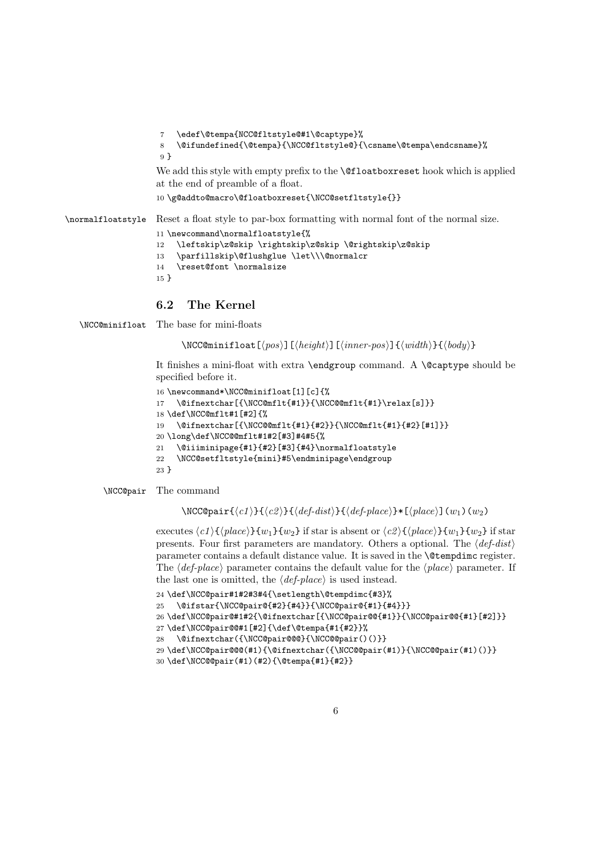```
7 \edef\@tempa{NCC@fltstyle@#1\@captype}%
```

```
8 \@ifundefined{\@tempa}{\NCC@fltstyle@}{\csname\@tempa\endcsname}%
9 }
```
We add this style with empty prefix to the **\@floatboxreset** hook which is applied at the end of preamble of a float.

```
10 \g@addto@macro\@floatboxreset{\NCC@setfltstyle{}}
```
\normalfloatstyle Reset a float style to par-box formatting with normal font of the normal size.

```
11 \newcommand\normalfloatstyle{%
12 \leftskip\z@skip \rightskip\z@skip \@rightskip\z@skip
13 \parfillskip\@flushglue \let\\\@normalcr
14 \reset@font \normalsize
15 }
```
#### 6.2 The Kernel

\NCC@minifloat The base for mini-floats

\NCC@minifloat[ $\{pos\}$ ][ $\{height\}$ ][ $\{inner-pos\}$ ]{ $\{width\}$ }{ $\{body\}$ }

It finishes a mini-float with extra \endgroup command. A \@captype should be specified before it.

```
16 \newcommand*\NCC@minifloat[1][c]{%
17 \@ifnextchar[{\NCC@mflt{#1}}{\NCC@@mflt{#1}\relax[s]}}
18 \def\NCC@mflt#1[#2]{%
19 \@ifnextchar[{\NCC@@mflt{#1}{#2}}{\NCC@mflt{#1}{#2}[#1]}}
20 \long\def\NCC@@mflt#1#2[#3]#4#5{%
21 \@iiiminipage{#1}{#2}[#3]{#4}\normalfloatstyle
22 \NCC@setfltstyle{mini}#5\endminipage\endgroup
23 }
```
#### \NCC@pair The command

 $\NCC@pair{\c1}{}{c2}{}f{def-dist}{f{def-place}}*[{phace}] (w_1)(w_2)$ 

executes  $\langle c1\rangle$ { $\langle place\rangle$ }{w<sub>1</sub>}{w<sub>2</sub>} if star is absent or  $\langle c2\rangle$ { $\langle place\rangle$ }{w<sub>1</sub>}{w<sub>2</sub>} if star presents. Four first parameters are mandatory. Others a optional. The  $\langle def-dist \rangle$ parameter contains a default distance value. It is saved in the \@tempdimc register. The  $\langle$  def-place<sub> $\rangle$ </sub> parameter contains the default value for the  $\langle$  place<sub> $\rangle$ </sub> parameter. If the last one is omitted, the  $\langle def$ -place) is used instead.

```
24 \def\NCC@pair#1#2#3#4{\setlength\@tempdimc{#3}%
25 \@ifstar{\NCC@pair@{#2}{#4}}{\NCC@pair@{#1}{#4}}}
26 \def\NCC@pair@#1#2{\@ifnextchar[{\NCC@pair@@{#1}}{\NCC@pair@@{#1}[#2]}}
27 \def\NCC@pair@@#1[#2]{\def\@tempa{#1{#2}}%
28 \@ifnextchar({\NCC@pair@@@}{\NCC@@pair()()}}
29 \def\NCC@pair@@@(#1){\@ifnextchar({\NCC@@pair(#1)}{\NCC@@pair(#1)()}}
30 \def\NCC@@pair(#1)(#2){\@tempa{#1}{#2}}
```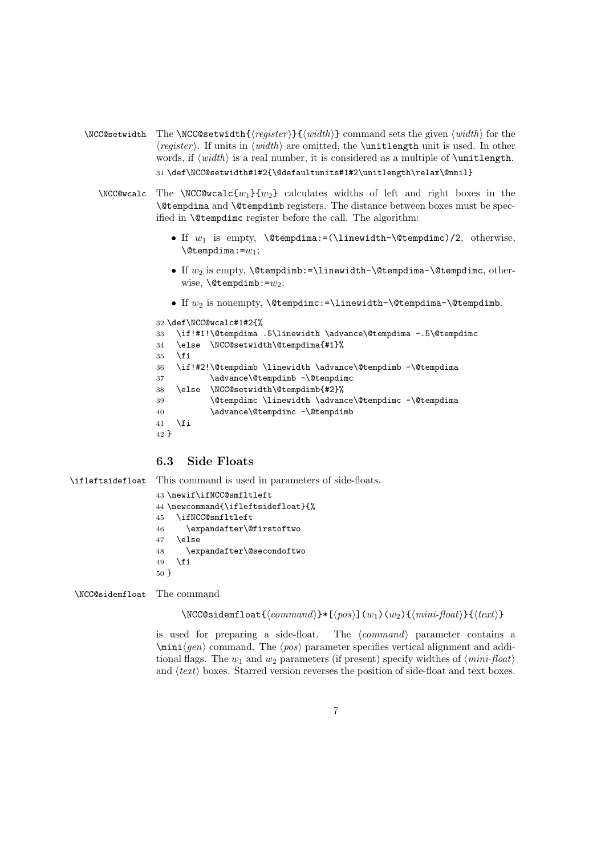- \NCC@setwidth The \NCC@setwidth{ $\text{register}$ }{ $\text{width}$ } command sets the given  $\text{width}$  for the  $\langle register \rangle$ . If units in  $\langle width \rangle$  are omitted, the **\unitlength** unit is used. In other words, if  $\langle width \rangle$  is a real number, it is considered as a multiple of  $\{unitlength.$ 31 \def\NCC@setwidth#1#2{\@defaultunits#1#2\unitlength\relax\@nnil}
	- \NCC@wcalc The \NCC@wcalc{w<sub>1</sub>}{w<sub>2</sub>} calculates widths of left and right boxes in the \@tempdima and \@tempdimb registers. The distance between boxes must be specified in \@tempdimc register before the call. The algorithm:
		- If  $w_1$  is empty,  $\text{itempdim}:=(\line \text{itempdim})/2, otherwise,$  $\setminus$ @tempdima:= $w_1$ ;
		- If  $w_2$  is empty,  $\text{Set} = \line{\text{Set}} \text{Set} = -\text{Set}$  and  $\text{Set} = -\text{Set}$ wise,  $\text{Setempdim}:=w_2$ ;
		- If  $w_2$  is nonempty,  $\text{item}$   $:=$  linewidth- $\text{item}$   $\text{item}$

```
32 \def\NCC@wcalc#1#2{%
```

```
33 \if!#1!\@tempdima .5\linewidth \advance\@tempdima -.5\@tempdimc
34 \else \NCC@setwidth\@tempdima{#1}%
35 \fi
36 \if!#2!\@tempdimb \linewidth \advance\@tempdimb -\@tempdima
37 \advance\@tempdimb -\@tempdimc
38 \else \NCC@setwidth\@tempdimb{#2}%
39 \@tempdimc \linewidth \advance\@tempdimc -\@tempdima
40 \advance\@tempdimc -\@tempdimb
41 \fi
42 }
```
### 6.3 Side Floats

```
\ifleftsidefloat This command is used in parameters of side-floats.
                  43 \newif\ifNCC@smfltleft
                  44 \newcommand{\ifleftsidefloat}{%
                  45 \ifNCC@smfltleft
                  46 \expandafter\@firstoftwo
                  47 \else
                  48 \expandafter\@secondoftwo
                  49 \fi
                  50 }
```
\NCC@sidemfloat The command

```
\NCC@sidentload{\langle command \rangle}*([pos)](w_1)(w_2){\{\langle mini\}}(text)\}
```
is used for preparing a side-float. The  $\langle command \rangle$  parameter contains a  $\min\{gen\}$  command. The  $\{pos\}$  parameter specifies vertical alignment and additional flags. The  $w_1$  and  $w_2$  parameters (if present) specify widthes of  $\langle mini\text{-}float\rangle$ and  $\langle text \rangle$  boxes. Starred version reverses the position of side-float and text boxes.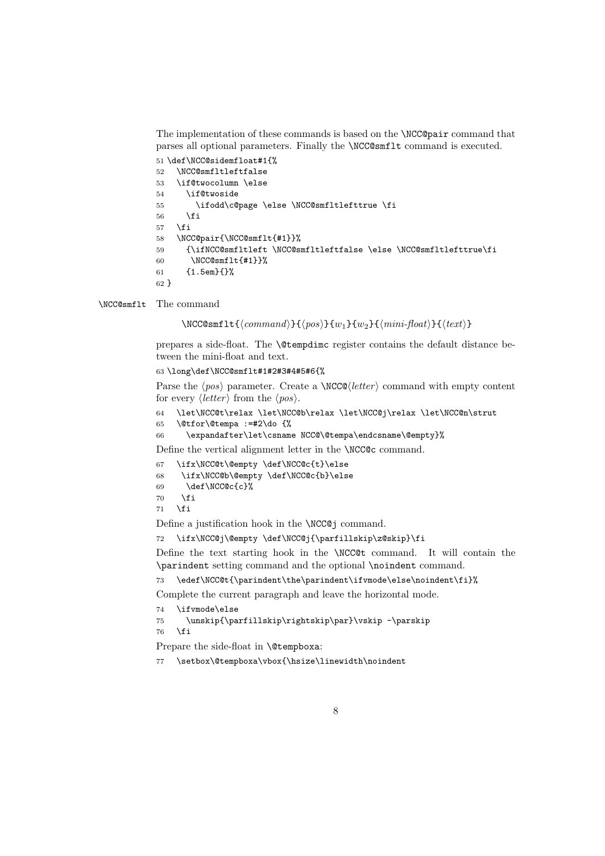The implementation of these commands is based on the \NCC@pair command that parses all optional parameters. Finally the \NCC@smflt command is executed.

```
51 \def\NCC@sidemfloat#1{%
52 \NCC@smfltleftfalse
53 \if@twocolumn \else
54 \if@twoside
55 \ifodd\c@page \else \NCC@smfltlefttrue \fi
56 \overrightarrow{f}57 \fi
58 \NCC@pair{\NCC@smflt{#1}}%
59 {\ifNCC@smfltleft \NCC@smfltleftfalse \else \NCC@smfltlefttrue\fi
60 \NCC@smflt{#1}}%
61 {1.5em}{}%
62 }
```
\NCC@smflt The command

 $\NCCQsmflt{command}\{}f(tommand){f(pos)}{w_1}{w_2}{\min-float}{}f(text)$ 

prepares a side-float. The \@tempdimc register contains the default distance between the mini-float and text.

63 \long\def\NCC@smflt#1#2#3#4#5#6{%

Parse the  $\langle pos \rangle$  parameter. Create a \NCC@\letter i command with empty content for every  $\langle letter \rangle$  from the  $\langle pos \rangle$ .

```
64 \let\NCC@t\relax \let\NCC@b\relax \let\NCC@j\relax \let\NCC@n\strut
```

```
65 \@tfor\@tempa :=#2\do {%
```

```
66 \expandafter\let\csname NCC@\@tempa\endcsname\@empty}%
```
Define the vertical alignment letter in the \NCC@c command.

```
67 \ifx\NCC@t\@empty \def\NCC@c{t}\else
```
68 \ifx\NCC@b\@empty \def\NCC@c{b}\else

- 69 \def\NCC@c{c}%
- $70 \overline{\ } \overline{\ }$  \fi  $71 \overline{\ } \overline{\ }$

Define a justification hook in the \NCC@j command.

```
72 \ifx\NCC@j\@empty \def\NCC@j{\parfillskip\z@skip}\fi
```
Define the text starting hook in the \NCC@t command. It will contain the \parindent setting command and the optional \noindent command.

```
73 \edef\NCC@t{\parindent\the\parindent\ifvmode\else\noindent\fi}%
```
Complete the current paragraph and leave the horizontal mode.

```
74 \ifvmode\else
```

```
75 \unskip{\parfillskip\rightskip\par}\vskip -\parskip
```
 $76 \quad \text{Yfi}$ 

Prepare the side-float in **\@tempboxa:** 

77 \setbox\@tempboxa\vbox{\hsize\linewidth\noindent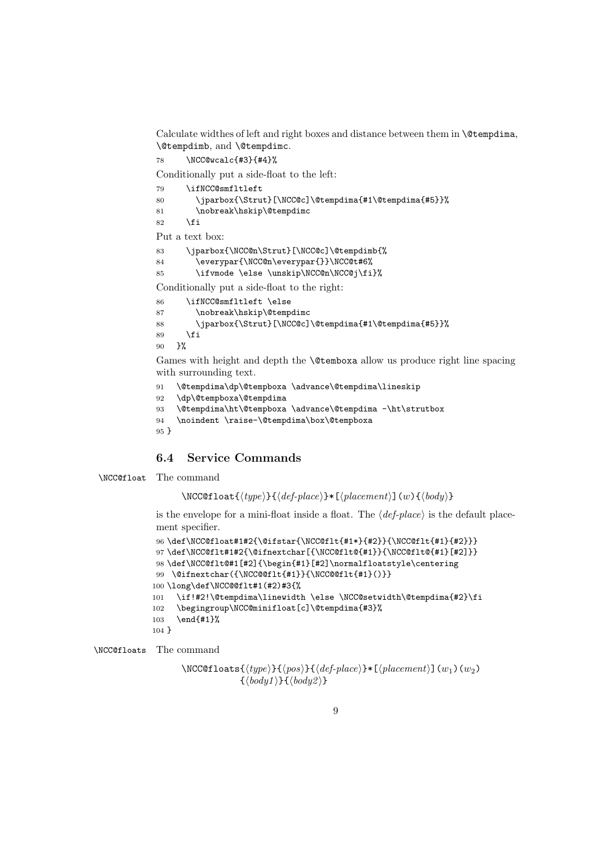Calculate widthes of left and right boxes and distance between them in \@tempdima, \@tempdimb, and \@tempdimc.

\NCC@wcalc{#3}{#4}%

Conditionally put a side-float to the left:

| 79 | \ifNCC@smfltleft                                      |
|----|-------------------------------------------------------|
| 80 | \iparbox{\Strut}[\NCC@c]\@tempdima{#1\@tempdima{#5}}% |
| 81 | \nobreak\hskip\@tempdimc                              |

82  $\setminus$ fi

Put a text box:

 \jparbox{\NCC@n\Strut}[\NCC@c]\@tempdimb{% \everypar{\NCC@n\everypar{}}\NCC@t#6% \ifvmode \else \unskip\NCC@n\NCC@j\fi}%

```
Conditionally put a side-float to the right:
```

```
86 \ifNCC@smfltleft \else
87 \nobreak\hskip\@tempdimc
88 \jparbox{\Strut}[\NCC@c]\@tempdima{#1\@tempdima{#5}}%
89 \overline{\text{f}i}90 }%
```
Games with height and depth the \@temboxa allow us produce right line spacing with surrounding text.

```
91 \@tempdima\dp\@tempboxa \advance\@tempdima\lineskip
```

```
92 \dp\@tempboxa\@tempdima
```

```
93 \@tempdima\ht\@tempboxa \advance\@tempdima -\ht\strutbox
```

```
94 \noindent \raise-\@tempdima\box\@tempboxa
```

```
95 }
```
#### 6.4 Service Commands

\NCC@float The command

 $\NCC@float({type}{\delta_{check}}*[\langle placement \rangle](w){\delta_{body}}$ 

is the envelope for a mini-float inside a float. The  $\langle def$ -place) is the default placement specifier.

```
96 \def\NCC@float#1#2{\@ifstar{\NCC@flt{#1*}{#2}}{\NCC@flt{#1}{#2}}}
97 \def\NCC@flt#1#2{\@ifnextchar[{\NCC@flt@{#1}}{\NCC@flt@{#1}[#2]}}
98 \def\NCC@flt@#1[#2]{\begin{#1}[#2]\normalfloatstyle\centering
99 \@ifnextchar({\NCC@@flt{#1}}{\NCC@@flt{#1}()}}
100 \long\def\NCC@@flt#1(#2)#3{%
101 \if!#2!\@tempdima\linewidth \else \NCC@setwidth\@tempdima{#2}\fi
102 \begingroup\NCC@minifloat[c]\@tempdima{#3}%
103 \end{#1}%
104 }
```
\NCC@floats The command

```
\NCC@floats{\type}{}{\pmod{f(qes)}{\pmod{s}} [(placement)](w<sub>1</sub>)(w<sub>2</sub>)
                    \{\langle body1\rangle\}\{\langle body2\rangle\}
```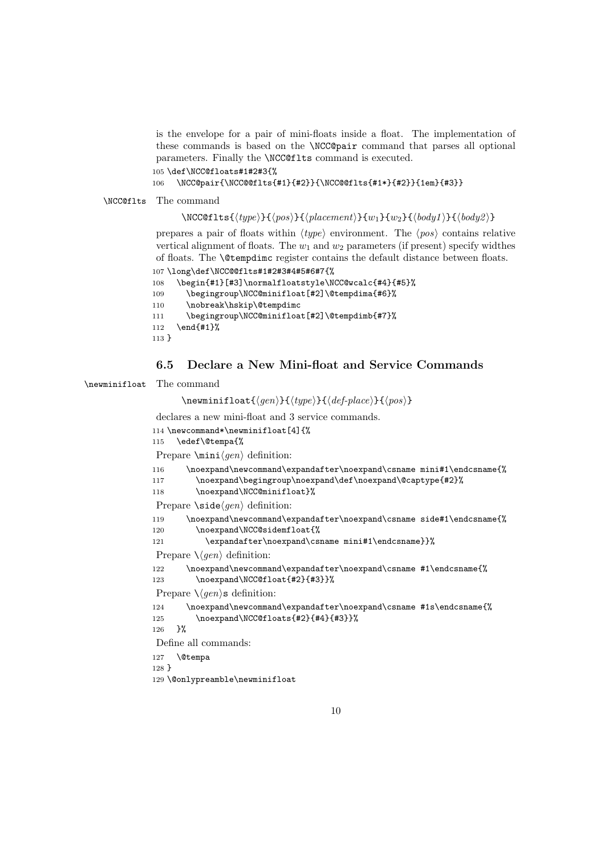is the envelope for a pair of mini-floats inside a float. The implementation of these commands is based on the \NCC@pair command that parses all optional parameters. Finally the \NCC@flts command is executed.

105 \def\NCC@floats#1#2#3{%

```
106 \NCC@pair{\NCC@@flts{#1}{#2}}{\NCC@@flts{#1*}{#2}}{1em}{#3}}
```
\NCC@flts The command

\NCC@flts{ $\langle type \rangle$ }{ $\langle pos \rangle$ }{ $\langle placement \rangle$ }{ $w_1$ }{ $w_2$ }{ $\langle body1 \rangle$ }{ $\langle body2 \rangle$ }

prepares a pair of floats within  $\langle type \rangle$  environment. The  $\langle pos \rangle$  contains relative vertical alignment of floats. The  $w_1$  and  $w_2$  parameters (if present) specify widthes of floats. The \@tempdimc register contains the default distance between floats. 107 \long\def\NCC@@flts#1#2#3#4#5#6#7{%

```
108 \begin{#1}[#3]\normalfloatstyle\NCC@wcalc{#4}{#5}%
109 \begingroup\NCC@minifloat[#2]\@tempdima{#6}%
110 \nobreak\hskip\@tempdimc
111 \begingroup\NCC@minifloat[#2]\@tempdimb{#7}%
112 \end{#1}%
113 }
```
#### 6.5 Declare a New Mini-float and Service Commands

#### \newminifloat The command

```
\newminifloat{\langle gen \rangle}{\langle type \rangle}{\langle def-place}}{\langle pos \rangle}
declares a new mini-float and 3 service commands.
114 \newcommand*\newminifloat[4]{%
115 \edef\@tempa{%
Prepare \min\{gen\} definition:
116 \noexpand\newcommand\expandafter\noexpand\csname mini#1\endcsname{%
117 \noexpand\begingroup\noexpand\def\noexpand\@captype{#2}%
118 \noexpand\NCC@minifloat}%
Prepare \setminus \text{side}\langle \text{gen} \rangle definition:
119 \noexpand\newcommand\expandafter\noexpand\csname side#1\endcsname{%
120 \noexpand\NCC@sidemfloat{%
121 \expandafter\noexpand\csname mini#1\endcsname}}%
Prepare \setminus \langle gen \rangle definition:
122 \noexpand\newcommand\expandafter\noexpand\csname #1\endcsname{%
123 \noexpand\NCC@float{#2}{#3}}%
Prepare \langle \langle gen \rangle definition:
124 \noexpand\newcommand\expandafter\noexpand\csname #1s\endcsname{%
125 \noexpand\NCC@floats{#2}{#4}{#3}}%
126 }%
Define all commands:
127 \@tempa
128 }
129 \@onlypreamble\newminifloat
```